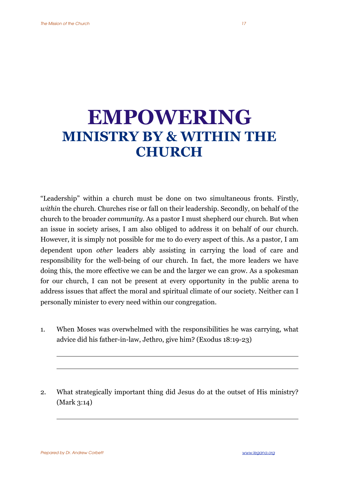## **EMPOWERING MINISTRY BY & WITHIN THE CHURCH**

"Leadership" within a church must be done on two simultaneous fronts. Firstly, *within* the church. Churches rise or fall on their leadership. Secondly, on behalf of the church to the broader *community*. As a pastor I must shepherd our church. But when an issue in society arises, I am also obliged to address it on behalf of our church. However, it is simply not possible for me to do every aspect of this. As a pastor, I am dependent upon *other* leaders ably assisting in carrying the load of care and responsibility for the well-being of our church. In fact, the more leaders we have doing this, the more effective we can be and the larger we can grow. As a spokesman for our church, I can not be present at every opportunity in the public arena to address issues that affect the moral and spiritual climate of our society. Neither can I personally minister to every need within our congregation.

- 1. When Moses was overwhelmed with the responsibilities he was carrying, what advice did his father-in-law, Jethro, give him? (Exodus 18:19-23)
- 2. What strategically important thing did Jesus do at the outset of His ministry? (Mark 3:14)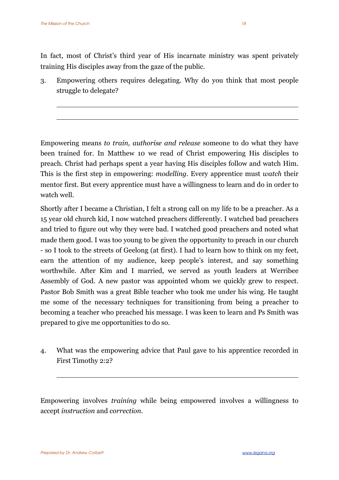In fact, most of Christ's third year of His incarnate ministry was spent privately training His disciples away from the gaze of the public.

3. Empowering others requires delegating. Why do you think that most people struggle to delegate?

Empowering means *to train, authorise and release* someone to do what they have been trained for. In Matthew 10 we read of Christ empowering His disciples to preach. Christ had perhaps spent a year having His disciples follow and watch Him. This is the first step in empowering: *modelling*. Every apprentice must *watch* their mentor first. But every apprentice must have a willingness to learn and do in order to watch well.

Shortly after I became a Christian, I felt a strong call on my life to be a preacher. As a 15 year old church kid, I now watched preachers differently. I watched bad preachers and tried to figure out why they were bad. I watched good preachers and noted what made them good. I was too young to be given the opportunity to preach in our church - so I took to the streets of Geelong (at first). I had to learn how to think on my feet, earn the attention of my audience, keep people's interest, and say something worthwhile. After Kim and I married, we served as youth leaders at Werribee Assembly of God. A new pastor was appointed whom we quickly grew to respect. Pastor Bob Smith was a great Bible teacher who took me under his wing. He taught me some of the necessary techniques for transitioning from being a preacher to becoming a teacher who preached his message. I was keen to learn and Ps Smith was prepared to give me opportunities to do so.

4. What was the empowering advice that Paul gave to his apprentice recorded in First Timothy 2:2?

Empowering involves *training* while being empowered involves a willingness to accept *instruction* and *correction*.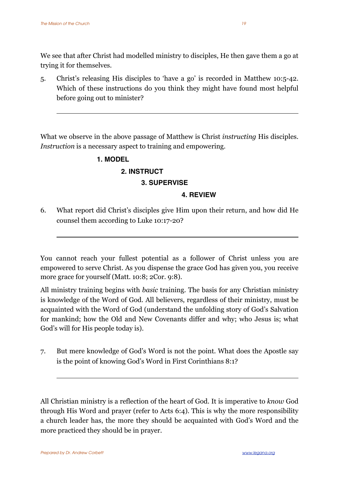We see that after Christ had modelled ministry to disciples, He then gave them a go at trying it for themselves.

5. Christ's releasing His disciples to 'have a go' is recorded in Matthew 10:5-42. Which of these instructions do you think they might have found most helpful before going out to minister?

What we observe in the above passage of Matthew is Christ *instructing* His disciples. *Instruction* is a necessary aspect to training and empowering.

### **1. MODEL**

#### **2. INSTRUCT**

#### **3. SUPERVISE**

#### **4. REVIEW**

6. What report did Christ's disciples give Him upon their return, and how did He counsel them according to Luke 10:17-20?

You cannot reach your fullest potential as a follower of Christ unless you are empowered to serve Christ. As you dispense the grace God has given you, you receive more grace for yourself (Matt. 10:8; 2Cor. 9:8).

All ministry training begins with *basic* training*.* The basis for any Christian ministry is knowledge of the Word of God. All believers, regardless of their ministry, must be acquainted with the Word of God (understand the unfolding story of God's Salvation for mankind; how the Old and New Covenants differ and why; who Jesus is; what God's will for His people today is).

7. But mere knowledge of God's Word is not the point. What does the Apostle say is the point of knowing God's Word in First Corinthians 8:1?

All Christian ministry is a reflection of the heart of God. It is imperative to *know* God through His Word and prayer (refer to Acts 6:4). This is why the more responsibility a church leader has, the more they should be acquainted with God's Word and the more practiced they should be in prayer.